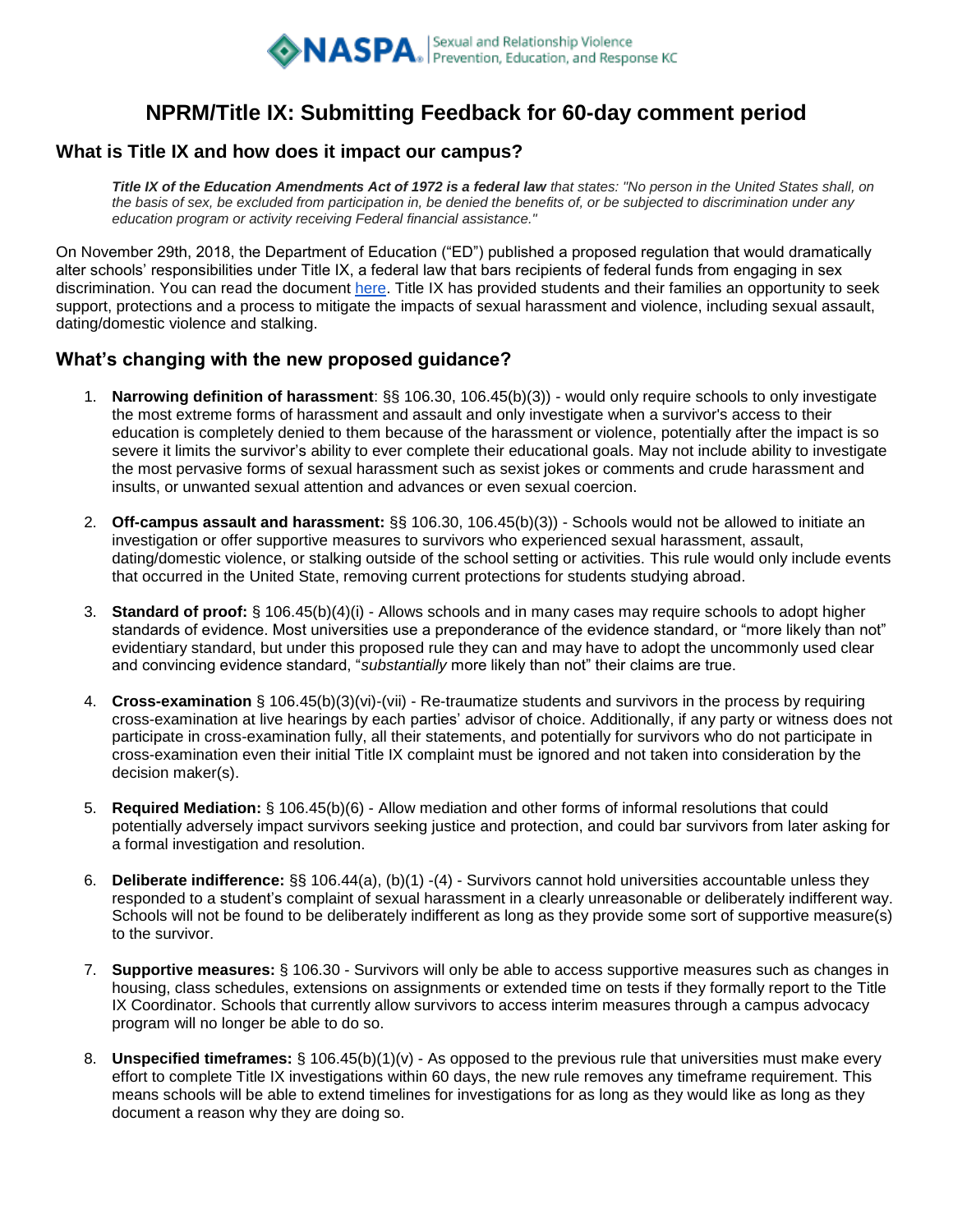

# **NPRM/Title IX: Submitting Feedback for 60-day comment period**

#### **What is Title IX and how does it impact our campus?**

*Title IX of the Education Amendments Act of 1972 is a federal law that states: "No person in the United States shall, on the basis of sex, be excluded from participation in, be denied the benefits of, or be subjected to discrimination under any education program or activity receiving Federal financial assistance."*

On November 29th, 2018, the Department of Education ("ED") published a proposed regulation that would dramatically alter schools' responsibilities under Title IX, a federal law that bars recipients of federal funds from engaging in sex discrimination. You can read the document [here.](https://www.federalregister.gov/documents/2018/11/29/2018-25314/nondiscrimination-on-the-basis-of-sex-in-education-programs-or-activities-receiving-federal) Title IX has provided students and their families an opportunity to seek support, protections and a process to mitigate the impacts of sexual harassment and violence, including sexual assault, dating/domestic violence and stalking.

### **What's changing with the new proposed guidance?**

- 1. **Narrowing definition of harassment**: §§ 106.30, 106.45(b)(3)) would only require schools to only investigate the most extreme forms of harassment and assault and only investigate when a survivor's access to their education is completely denied to them because of the harassment or violence, potentially after the impact is so severe it limits the survivor's ability to ever complete their educational goals. May not include ability to investigate the most pervasive forms of sexual harassment such as sexist jokes or comments and crude harassment and insults, or unwanted sexual attention and advances or even sexual coercion.
- 2. **Off-campus assault and harassment:** §§ 106.30, 106.45(b)(3)) Schools would not be allowed to initiate an investigation or offer supportive measures to survivors who experienced sexual harassment, assault, dating/domestic violence, or stalking outside of the school setting or activities. This rule would only include events that occurred in the United State, removing current protections for students studying abroad.
- 3. **Standard of proof:** § 106.45(b)(4)(i) Allows schools and in many cases may require schools to adopt higher standards of evidence. Most universities use a preponderance of the evidence standard, or "more likely than not" evidentiary standard, but under this proposed rule they can and may have to adopt the uncommonly used clear and convincing evidence standard, "*substantially* more likely than not" their claims are true.
- 4. **Cross-examination** § 106.45(b)(3)(vi)-(vii) Re-traumatize students and survivors in the process by requiring cross-examination at live hearings by each parties' advisor of choice. Additionally, if any party or witness does not participate in cross-examination fully, all their statements, and potentially for survivors who do not participate in cross-examination even their initial Title IX complaint must be ignored and not taken into consideration by the decision maker(s).
- 5. **Required Mediation:** § 106.45(b)(6) Allow mediation and other forms of informal resolutions that could potentially adversely impact survivors seeking justice and protection, and could bar survivors from later asking for a formal investigation and resolution.
- 6. **Deliberate indifference:** §§ 106.44(a), (b)(1) -(4) Survivors cannot hold universities accountable unless they responded to a student's complaint of sexual harassment in a clearly unreasonable or deliberately indifferent way. Schools will not be found to be deliberately indifferent as long as they provide some sort of supportive measure(s) to the survivor.
- 7. **Supportive measures:** § 106.30 Survivors will only be able to access supportive measures such as changes in housing, class schedules, extensions on assignments or extended time on tests if they formally report to the Title IX Coordinator. Schools that currently allow survivors to access interim measures through a campus advocacy program will no longer be able to do so.
- 8. **Unspecified timeframes:** § 106.45(b)(1)(v) As opposed to the previous rule that universities must make every effort to complete Title IX investigations within 60 days, the new rule removes any timeframe requirement. This means schools will be able to extend timelines for investigations for as long as they would like as long as they document a reason why they are doing so.